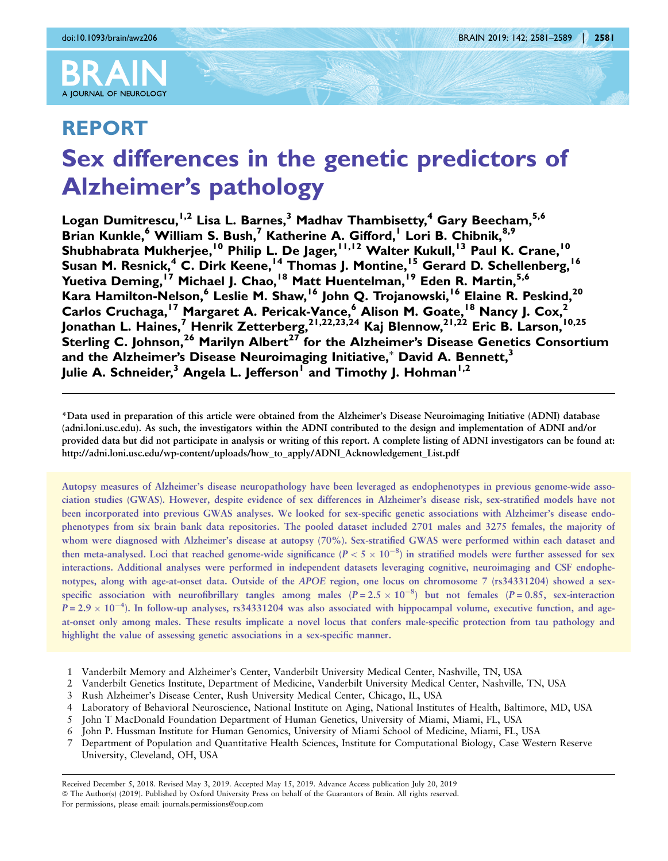

# REPORT Sex differences in the genetic predictors of Alzheimer's pathology

Logan Dumitrescu,<sup>1,2</sup> Lisa L. Barnes,<sup>3</sup> Madhav Thambisetty,<sup>4</sup> Gary Beecham,<sup>5,6</sup> Brian Kunkle,<sup>6</sup> William S. Bush,<sup>7</sup> Katherine A. Gifford,<sup>1</sup> Lori B. Chibnik,<sup>8,9</sup> Shubhabrata Mukherjee,<sup>10</sup> Philip L. De Jager,<sup>11,12</sup> Walter Kukull,<sup>13</sup> Paul K. Crane,<sup>10</sup> Susan M. Resnick,<sup>4</sup> C. Dirk Keene,<sup>14</sup> Thomas J. Montine,<sup>15</sup> Gerard D. Schellenberg,<sup>16</sup> Yuetiva Deming,<sup>17</sup> Michael J. Chao,<sup>18</sup> Matt Huentelman,<sup>19</sup> Eden R. Martin,<sup>5,6</sup> Kara Hamilton-Nelson,<sup>6</sup> Leslie M. Shaw, <sup>16</sup> John Q. Trojanowski, <sup>16</sup> Elaine R. Peskind, <sup>20</sup> Carlos Cruchaga,<sup>17</sup> Margaret A. Pericak-Vance,<sup>6</sup> Alison M. Goate,<sup>18</sup> Nancy J. Cox,<sup>2</sup> Jonathan L. Haines,<sup>7</sup> Henrik Zetterberg,<sup>21,22,23,24</sup> Kaj Blennow,<sup>21,22</sup> Eric B. Larson,<sup>10,25</sup> Sterling C. Johnson,  $^{26}$  Marilyn Albert $^{27}$  for the Alzheimer's Disease Genetics Consortium and the Alzheimer's Disease Neuroimaging Initiative, $^*$  David A. Bennett, $^3$ Julie A. Schneider,<sup>3</sup> Angela L. Jefferson<sup>1</sup> and Timothy J. Hohman<sup>1,2</sup>

\*Data used in preparation of this article were obtained from the Alzheimer's Disease Neuroimaging Initiative (ADNI) database (adni.loni.usc.edu). As such, the investigators within the ADNI contributed to the design and implementation of ADNI and/or provided data but did not participate in analysis or writing of this report. A complete listing of ADNI investigators can be found at: http://adni.loni.usc.edu/wp-content/uploads/how\_to\_apply/ADNI\_Acknowledgement\_List.pdf

Autopsy measures of Alzheimer's disease neuropathology have been leveraged as endophenotypes in previous genome-wide association studies (GWAS). However, despite evidence of sex differences in Alzheimer's disease risk, sex-stratified models have not been incorporated into previous GWAS analyses. We looked for sex-specific genetic associations with Alzheimer's disease endophenotypes from six brain bank data repositories. The pooled dataset included 2701 males and 3275 females, the majority of whom were diagnosed with Alzheimer's disease at autopsy (70%). Sex-stratified GWAS were performed within each dataset and then meta-analysed. Loci that reached genome-wide significance ( $P < 5 \times 10^{-8}$ ) in stratified models were further assessed for sex interactions. Additional analyses were performed in independent datasets leveraging cognitive, neuroimaging and CSF endophenotypes, along with age-at-onset data. Outside of the APOE region, one locus on chromosome 7 (rs34331204) showed a sexspecific association with neurofibrillary tangles among males  $(P = 2.5 \times 10^{-8})$  but not females  $(P = 0.85$ , sex-interaction  $P = 2.9 \times 10^{-4}$ ). In follow-up analyses, rs34331204 was also associated with hippocampal volume, executive function, and ageat-onset only among males. These results implicate a novel locus that confers male-specific protection from tau pathology and highlight the value of assessing genetic associations in a sex-specific manner.

- 1 Vanderbilt Memory and Alzheimer's Center, Vanderbilt University Medical Center, Nashville, TN, USA
- 2 Vanderbilt Genetics Institute, Department of Medicine, Vanderbilt University Medical Center, Nashville, TN, USA
- 3 Rush Alzheimer's Disease Center, Rush University Medical Center, Chicago, IL, USA
- 4 Laboratory of Behavioral Neuroscience, National Institute on Aging, National Institutes of Health, Baltimore, MD, USA
- 5 John T MacDonald Foundation Department of Human Genetics, University of Miami, Miami, FL, USA
- 6 John P. Hussman Institute for Human Genomics, University of Miami School of Medicine, Miami, FL, USA
- 7 Department of Population and Quantitative Health Sciences, Institute for Computational Biology, Case Western Reserve University, Cleveland, OH, USA

Received December 5, 2018. Revised May 3, 2019. Accepted May 15, 2019. Advance Access publication July 20, 2019 © The Author(s) (2019). Published by Oxford University Press on behalf of the Guarantors of Brain. All rights reserved. For permissions, please email: journals.permissions@oup.com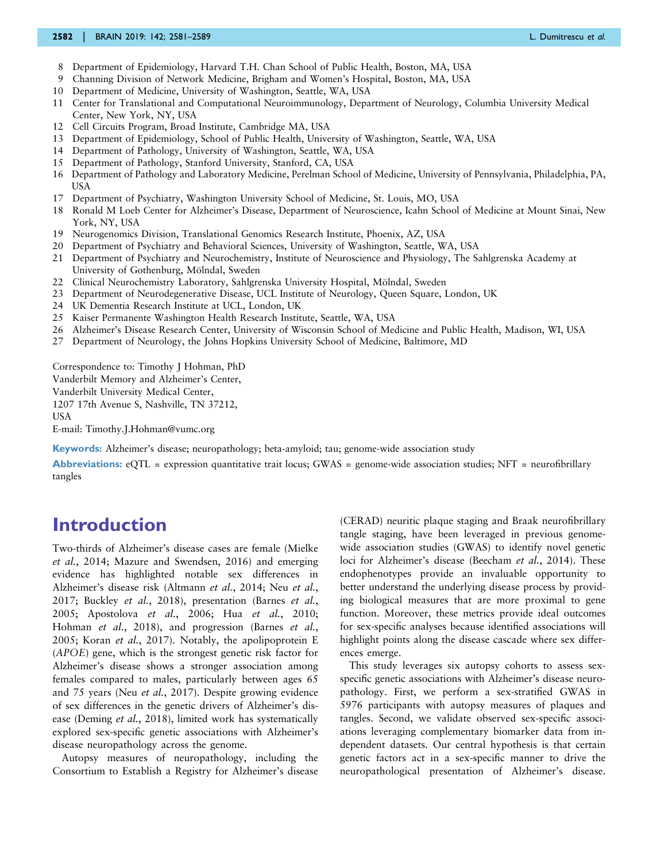#### 2582 | BRAIN 2019: 142; 2581–2589 L. Dumitrescu et al.

- 8 Department of Epidemiology, Harvard T.H. Chan School of Public Health, Boston, MA, USA
- 9 Channing Division of Network Medicine, Brigham and Women's Hospital, Boston, MA, USA
- 10 Department of Medicine, University of Washington, Seattle, WA, USA
- 11 Center for Translational and Computational Neuroimmunology, Department of Neurology, Columbia University Medical Center, New York, NY, USA
- 12 Cell Circuits Program, Broad Institute, Cambridge MA, USA
- 13 Department of Epidemiology, School of Public Health, University of Washington, Seattle, WA, USA
- 14 Department of Pathology, University of Washington, Seattle, WA, USA
- 15 Department of Pathology, Stanford University, Stanford, CA, USA
- 16 Department of Pathology and Laboratory Medicine, Perelman School of Medicine, University of Pennsylvania, Philadelphia, PA, USA
- 17 Department of Psychiatry, Washington University School of Medicine, St. Louis, MO, USA
- 18 Ronald M Loeb Center for Alzheimer's Disease, Department of Neuroscience, Icahn School of Medicine at Mount Sinai, New York, NY, USA
- 19 Neurogenomics Division, Translational Genomics Research Institute, Phoenix, AZ, USA
- 20 Department of Psychiatry and Behavioral Sciences, University of Washington, Seattle, WA, USA
- 21 Department of Psychiatry and Neurochemistry, Institute of Neuroscience and Physiology, The Sahlgrenska Academy at University of Gothenburg, Mölndal, Sweden
- 22 Clinical Neurochemistry Laboratory, Sahlgrenska University Hospital, Mölndal, Sweden
- 23 Department of Neurodegenerative Disease, UCL Institute of Neurology, Queen Square, London, UK
- 24 UK Dementia Research Institute at UCL, London, UK
- 25 Kaiser Permanente Washington Health Research Institute, Seattle, WA, USA
- 26 Alzheimer's Disease Research Center, University of Wisconsin School of Medicine and Public Health, Madison, WI, USA
- 27 Department of Neurology, the Johns Hopkins University School of Medicine, Baltimore, MD

Correspondence to: Timothy J Hohman, PhD

Vanderbilt Memory and Alzheimer's Center,

Vanderbilt University Medical Center,

1207 17th Avenue S, Nashville, TN 37212,

USA

E-mail: Timothy.J.Hohman@vumc.org

Keywords: Alzheimer's disease; neuropathology; beta-amyloid; tau; genome-wide association study

Abbreviations:  $eQTL$  = expression quantitative trait locus; GWAS = genome-wide association studies; NFT = neurofibrillary tangles

# Introduction

Two-thirds of Alzheimer's disease cases are female [\(Mielke](#page-7-0) et al.[, 2014; Mazure and Swendsen, 2016\)](#page-7-0) and emerging evidence has highlighted notable sex differences in Alzheimer's disease risk [\(Altmann](#page-7-0) et al., 2014; Neu [et al.](#page-7-0), [2017](#page-7-0); [Buckley](#page-7-0) et al., 2018), presentation ([Barnes](#page-7-0) et al., [2005](#page-7-0); [Apostolova](#page-7-0) et al., 2006; Hua et al.[, 2010;](#page-7-0) [Hohman](#page-7-0) et al., 2018), and progression ([Barnes](#page-7-0) et al., [2005](#page-7-0); Koran et al.[, 2017](#page-7-0)). Notably, the apolipoprotein E (APOE) gene, which is the strongest genetic risk factor for Alzheimer's disease shows a stronger association among females compared to males, particularly between ages 65 and 75 years (Neu et al.[, 2017\)](#page-7-0). Despite growing evidence of sex differences in the genetic drivers of Alzheimer's disease [\(Deming](#page-7-0) et al., 2018), limited work has systematically explored sex-specific genetic associations with Alzheimer's disease neuropathology across the genome.

Autopsy measures of neuropathology, including the Consortium to Establish a Registry for Alzheimer's disease

(CERAD) neuritic plaque staging and Braak neurofibrillary tangle staging, have been leveraged in previous genomewide association studies (GWAS) to identify novel genetic loci for Alzheimer's disease ([Beecham](#page-7-0) et al., 2014). These endophenotypes provide an invaluable opportunity to better understand the underlying disease process by providing biological measures that are more proximal to gene function. Moreover, these metrics provide ideal outcomes for sex-specific analyses because identified associations will highlight points along the disease cascade where sex differences emerge.

This study leverages six autopsy cohorts to assess sexspecific genetic associations with Alzheimer's disease neuropathology. First, we perform a sex-stratified GWAS in 5976 participants with autopsy measures of plaques and tangles. Second, we validate observed sex-specific associations leveraging complementary biomarker data from independent datasets. Our central hypothesis is that certain genetic factors act in a sex-specific manner to drive the neuropathological presentation of Alzheimer's disease.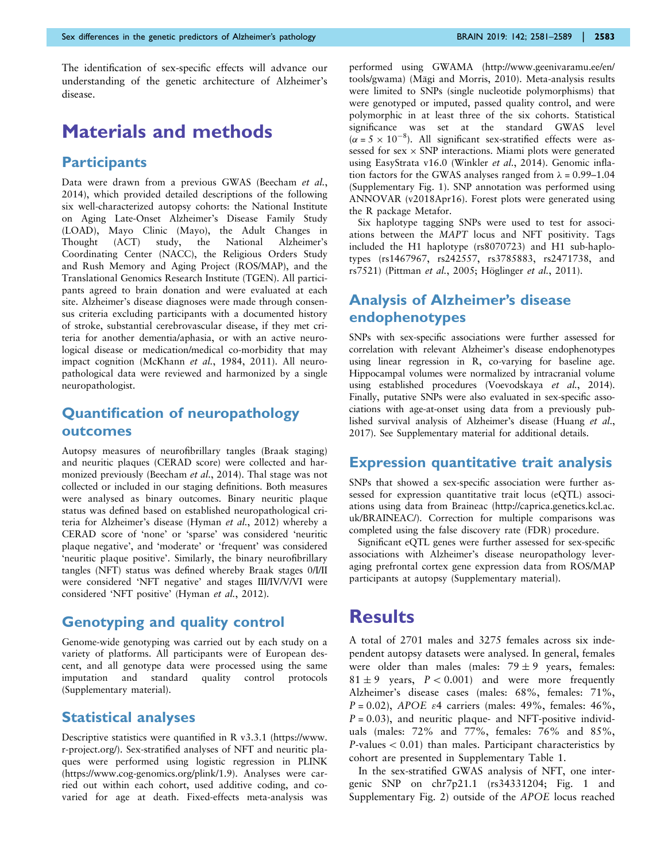The identification of sex-specific effects will advance our understanding of the genetic architecture of Alzheimer's disease.

# Materials and methods

#### **Participants**

Data were drawn from a previous GWAS [\(Beecham](#page-7-0) et al., [2014](#page-7-0)), which provided detailed descriptions of the following six well-characterized autopsy cohorts: the National Institute on Aging Late-Onset Alzheimer's Disease Family Study (LOAD), Mayo Clinic (Mayo), the Adult Changes in Thought (ACT) study, the National Alzheimer's Coordinating Center (NACC), the Religious Orders Study and Rush Memory and Aging Project (ROS/MAP), and the Translational Genomics Research Institute (TGEN). All participants agreed to brain donation and were evaluated at each site. Alzheimer's disease diagnoses were made through consensus criteria excluding participants with a documented history of stroke, substantial cerebrovascular disease, if they met criteria for another dementia/aphasia, or with an active neurological disease or medication/medical co-morbidity that may impact cognition [\(McKhann](#page-7-0) et al., 1984, [2011](#page-7-0)). All neuropathological data were reviewed and harmonized by a single neuropathologist.

#### Quantification of neuropathology outcomes

Autopsy measures of neurofibrillary tangles (Braak staging) and neuritic plaques (CERAD score) were collected and harmonized previously ([Beecham](#page-7-0) et al., 2014). Thal stage was not collected or included in our staging definitions. Both measures were analysed as binary outcomes. Binary neuritic plaque status was defined based on established neuropathological criteria for Alzheimer's disease ([Hyman](#page-7-0) et al., 2012) whereby a CERAD score of 'none' or 'sparse' was considered 'neuritic plaque negative', and 'moderate' or 'frequent' was considered 'neuritic plaque positive'. Similarly, the binary neurofibrillary tangles (NFT) status was defined whereby Braak stages 0/I/II were considered 'NFT negative' and stages III/IV/V/VI were considered 'NFT positive' ([Hyman](#page-7-0) et al., 2012).

#### Genotyping and quality control

Genome-wide genotyping was carried out by each study on a variety of platforms. All participants were of European descent, and all genotype data were processed using the same imputation and standard quality control protocols (Supplementary material).

#### Statistical analyses

Descriptive statistics were quantified in R v3.3.1 (https://www. r-project.org/). Sex-stratified analyses of NFT and neuritic plaques were performed using logistic regression in PLINK (https://www.cog-genomics.org/plink/1.9). Analyses were carried out within each cohort, used additive coding, and covaried for age at death. Fixed-effects meta-analysis was

performed using GWAMA (http://www.geenivaramu.ee/en/ tools/gwama) (Mägi and Morris, 2010). Meta-analysis results were limited to SNPs (single nucleotide polymorphisms) that were genotyped or imputed, passed quality control, and were polymorphic in at least three of the six cohorts. Statistical significance was set at the standard GWAS level  $(\alpha = 5 \times 10^{-8})$ . All significant sex-stratified effects were assessed for sex  $\times$  SNP interactions. Miami plots were generated using EasyStrata v16.0 [\(Winkler](#page-8-0) et al., 2014). Genomic inflation factors for the GWAS analyses ranged from  $\lambda = 0.99 - 1.04$ (Supplementary Fig. 1). SNP annotation was performed using ANNOVAR (v2018Apr16). Forest plots were generated using the R package Metafor.

Six haplotype tagging SNPs were used to test for associations between the MAPT locus and NFT positivity. Tags included the H1 haplotype (rs8070723) and H1 sub-haplotypes (rs1467967, rs242557, rs3785883, rs2471738, and rs7521) ([Pittman](#page-7-0) et al., 2005; Höglinger et al.[, 2011\)](#page-7-0).

### Analysis of Alzheimer's disease endophenotypes

SNPs with sex-specific associations were further assessed for correlation with relevant Alzheimer's disease endophenotypes using linear regression in R, co-varying for baseline age. Hippocampal volumes were normalized by intracranial volume using established procedures [\(Voevodskaya](#page-8-0) et al., 2014). Finally, putative SNPs were also evaluated in sex-specific associations with age-at-onset using data from a previously published survival analysis of Alzheimer's disease ([Huang](#page-7-0) et al., [2017\)](#page-7-0). See Supplementary material for additional details.

#### Expression quantitative trait analysis

SNPs that showed a sex-specific association were further assessed for expression quantitative trait locus (eQTL) associations using data from Braineac (http://caprica.genetics.kcl.ac. uk/BRAINEAC/). Correction for multiple comparisons was completed using the false discovery rate (FDR) procedure.

Significant eQTL genes were further assessed for sex-specific associations with Alzheimer's disease neuropathology leveraging prefrontal cortex gene expression data from ROS/MAP participants at autopsy (Supplementary material).

## **Results**

A total of 2701 males and 3275 females across six independent autopsy datasets were analysed. In general, females were older than males (males:  $79 \pm 9$  years, females:  $81 \pm 9$  years,  $P < 0.001$ ) and were more frequently Alzheimer's disease cases (males: 68%, females: 71%,  $P = 0.02$ ), APOE  $\varepsilon$ 4 carriers (males: 49%, females: 46%,  $P = 0.03$ ), and neuritic plaque- and NFT-positive individuals (males: 72% and 77%, females: 76% and 85%,  $P$ -values  $< 0.01$ ) than males. Participant characteristics by cohort are presented in Supplementary Table 1.

In the sex-stratified GWAS analysis of NFT, one intergenic SNP on chr7p21.1 (rs34331204; [Fig. 1](#page-3-0) and Supplementary Fig. 2) outside of the APOE locus reached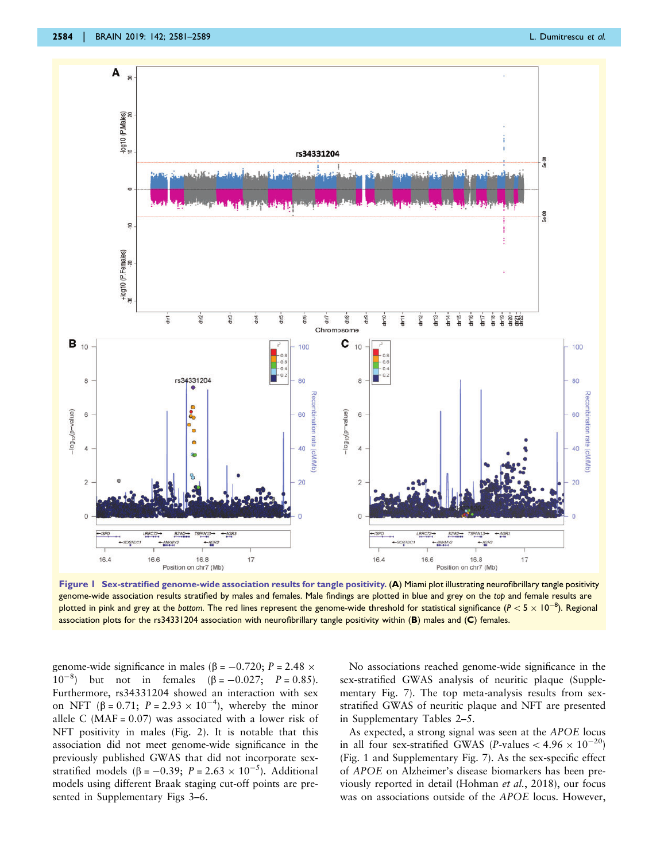<span id="page-3-0"></span>

Figure 1 Sex-stratified genome-wide association results for tangle positivity. (A) Miami plot illustrating neurofibrillary tangle positivity genome-wide association results stratified by males and females. Male findings are plotted in blue and grey on the top and female results are plotted in pink and grey at the bottom. The red lines represent the genome-wide threshold for statistical significance ( $P < 5 \times 10^{-8}$ ). Regional association plots for the rs34331204 association with neurofibrillary tangle positivity within (B) males and (C) females.

genome-wide significance in males ( $\beta = -0.720$ ;  $P = 2.48 \times$  $(10^{-8})$  but not in females  $(\beta = -0.027; P = 0.85)$ . Furthermore, rs34331204 showed an interaction with sex on NFT ( $\beta = 0.71$ ;  $P = 2.93 \times 10^{-4}$ ), whereby the minor allele C (MAF =  $0.07$ ) was associated with a lower risk of NFT positivity in males [\(Fig. 2](#page-4-0)). It is notable that this association did not meet genome-wide significance in the previously published GWAS that did not incorporate sexstratified models ( $\beta$  = -0.39; P = 2.63  $\times$  10<sup>-5</sup>). Additional models using different Braak staging cut-off points are presented in Supplementary Figs 3–6.

No associations reached genome-wide significance in the sex-stratified GWAS analysis of neuritic plaque (Supplementary Fig. 7). The top meta-analysis results from sexstratified GWAS of neuritic plaque and NFT are presented in Supplementary Tables 2–5.

As expected, a strong signal was seen at the APOE locus in all four sex-stratified GWAS (P-values  $< 4.96 \times 10^{-20}$ ) (Fig. 1 and Supplementary Fig. 7). As the sex-specific effect of APOE on Alzheimer's disease biomarkers has been previously reported in detail ([Hohman](#page-7-0) et al., 2018), our focus was on associations outside of the APOE locus. However,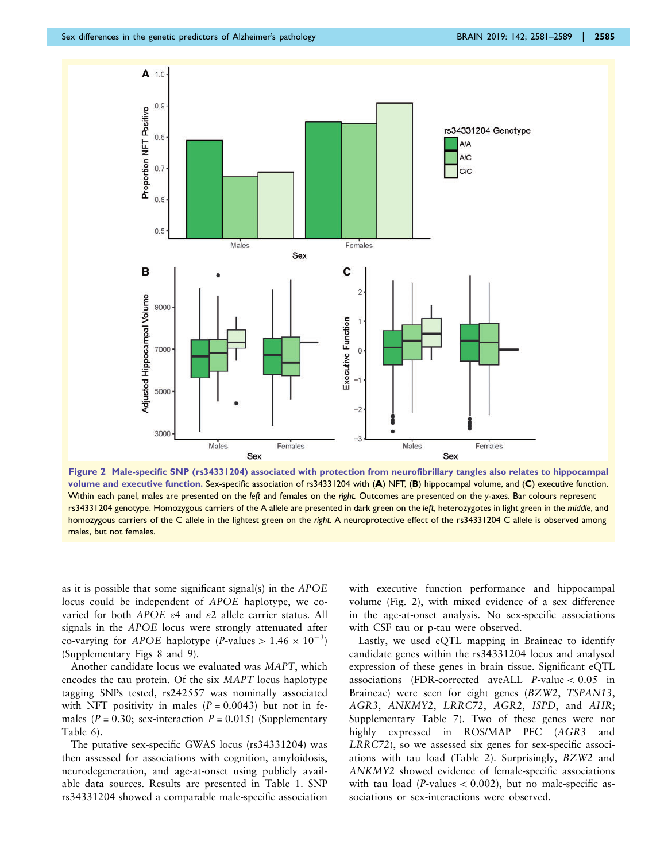<span id="page-4-0"></span>

Figure 2 Male-specific SNP (rs34331204) associated with protection from neurofibrillary tangles also relates to hippocampal volume and executive function. Sex-specific association of rs34331204 with (A) NFT, (B) hippocampal volume, and (C) executive function. Within each panel, males are presented on the left and females on the right. Outcomes are presented on the y-axes. Bar colours represent rs34331204 genotype. Homozygous carriers of the A allele are presented in dark green on the left, heterozygotes in light green in the middle, and homozygous carriers of the C allele in the lightest green on the right. A neuroprotective effect of the rs34331204 C allele is observed among males, but not females.

as it is possible that some significant signal(s) in the APOE locus could be independent of APOE haplotype, we covaried for both APOE  $\varepsilon$ 4 and  $\varepsilon$ 2 allele carrier status. All signals in the APOE locus were strongly attenuated after co-varying for *APOE* haplotype (*P*-values  $> 1.46 \times 10^{-3}$ ) (Supplementary Figs 8 and 9).

Another candidate locus we evaluated was MAPT, which encodes the tau protein. Of the six MAPT locus haplotype tagging SNPs tested, rs242557 was nominally associated with NFT positivity in males  $(P = 0.0043)$  but not in females ( $P = 0.30$ ; sex-interaction  $P = 0.015$ ) (Supplementary Table 6).

The putative sex-specific GWAS locus (rs34331204) was then assessed for associations with cognition, amyloidosis, neurodegeneration, and age-at-onset using publicly available data sources. Results are presented in [Table 1.](#page-5-0) SNP rs34331204 showed a comparable male-specific association with executive function performance and hippocampal volume (Fig. 2), with mixed evidence of a sex difference in the age-at-onset analysis. No sex-specific associations with CSF tau or p-tau were observed.

Lastly, we used eQTL mapping in Braineac to identify candidate genes within the rs34331204 locus and analysed expression of these genes in brain tissue. Significant eQTL associations (FDR-corrected aveALL P-value  $< 0.05$  in Braineac) were seen for eight genes (BZW2, TSPAN13, AGR3, ANKMY2, LRRC72, AGR2, ISPD, and AHR; Supplementary Table 7). Two of these genes were not highly expressed in ROS/MAP PFC (AGR3 and LRRC72), so we assessed six genes for sex-specific associations with tau load ([Table 2\)](#page-5-0). Surprisingly, BZW2 and ANKMY2 showed evidence of female-specific associations with tau load (P-values  $< 0.002$ ), but no male-specific associations or sex-interactions were observed.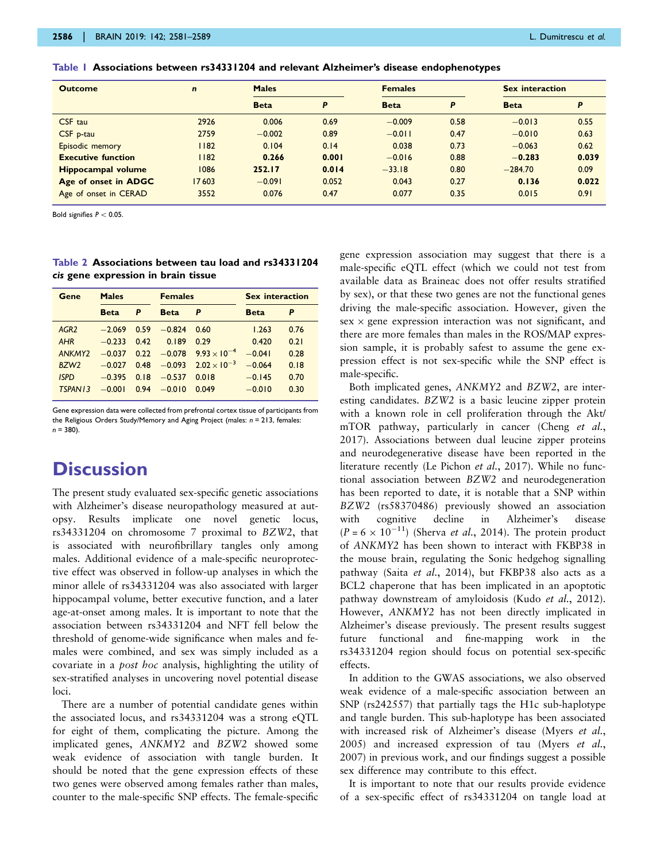<span id="page-5-0"></span>

|  |  | Table I  Associations between rs34331204 and relevant Alzheimer's disease endophenotypes |  |  |  |  |  |  |  |  |  |  |  |  |
|--|--|------------------------------------------------------------------------------------------|--|--|--|--|--|--|--|--|--|--|--|--|
|--|--|------------------------------------------------------------------------------------------|--|--|--|--|--|--|--|--|--|--|--|--|

| <b>Outcome</b>            | $\mathbf n$ | <b>Males</b> |       | <b>Females</b> |      | Sex interaction |       |
|---------------------------|-------------|--------------|-------|----------------|------|-----------------|-------|
|                           |             | <b>Beta</b>  | P     | <b>Beta</b>    | P    | <b>Beta</b>     | Ρ     |
| CSF tau                   | 2926        | 0.006        | 0.69  | $-0.009$       | 0.58 | $-0.013$        | 0.55  |
| CSF p-tau                 | 2759        | $-0.002$     | 0.89  | $-0.011$       | 0.47 | $-0.010$        | 0.63  |
| Episodic memory           | 82          | 0.104        | 0.14  | 0.038          | 0.73 | $-0.063$        | 0.62  |
| <b>Executive function</b> | 182         | 0.266        | 0.001 | $-0.016$       | 0.88 | $-0.283$        | 0.039 |
| <b>Hippocampal volume</b> | 1086        | 252.17       | 0.014 | $-33.18$       | 0.80 | $-284.70$       | 0.09  |
| Age of onset in ADGC      | 17603       | $-0.091$     | 0.052 | 0.043          | 0.27 | 0.136           | 0.022 |
| Age of onset in CERAD     | 3552        | 0.076        | 0.47  | 0.077          | 0.35 | 0.015           | 0.91  |

Bold signifies  $P < 0.05$ .

Table 2 Associations between tau load and rs34331204 cis gene expression in brain tissue

| Gene                | <b>Males</b> |      | <b>Females</b> |                                     | <b>Sex interaction</b> |      |  |
|---------------------|--------------|------|----------------|-------------------------------------|------------------------|------|--|
|                     | <b>Beta</b>  | P    | <b>Beta</b>    | P                                   | <b>Beta</b>            | P    |  |
| AGR <sub>2</sub>    | $-2.069$     | 0.59 | $-0.824$       | 0.60                                | 1.263                  | 0.76 |  |
| AHR                 | $-0.233$     | 0.42 | 0.189          | 0.29                                | 0.420                  | 0.21 |  |
| ANKMY <sub>2</sub>  | $-0.037$     |      |                | $0.22 -0.078$ $9.93 \times 10^{-4}$ | $-0.041$               | 0.28 |  |
| BZW <sub>2</sub>    | $-0.027$     | 0.48 |                | $-0.093$ $2.02 \times 10^{-3}$      | $-0.064$               | 0.18 |  |
| <b>ISPD</b>         | $-0.395$     | 0.18 | $-0.537$       | 0.018                               | $-0.145$               | 0.70 |  |
| TSPAN <sub>13</sub> | $-0.001$     | 0.94 | $-0.010$       | 0.049                               | $-0.010$               | 0.30 |  |

Gene expression data were collected from prefrontal cortex tissue of participants from the Religious Orders Study/Memory and Aging Project (males:  $n = 213$ , females:  $n = 380$ ).

# **Discussion**

The present study evaluated sex-specific genetic associations with Alzheimer's disease neuropathology measured at autopsy. Results implicate one novel genetic locus, rs34331204 on chromosome 7 proximal to BZW2, that is associated with neurofibrillary tangles only among males. Additional evidence of a male-specific neuroprotective effect was observed in follow-up analyses in which the minor allele of rs34331204 was also associated with larger hippocampal volume, better executive function, and a later age-at-onset among males. It is important to note that the association between rs34331204 and NFT fell below the threshold of genome-wide significance when males and females were combined, and sex was simply included as a covariate in a post hoc analysis, highlighting the utility of sex-stratified analyses in uncovering novel potential disease loci.

There are a number of potential candidate genes within the associated locus, and rs34331204 was a strong eQTL for eight of them, complicating the picture. Among the implicated genes, ANKMY2 and BZW2 showed some weak evidence of association with tangle burden. It should be noted that the gene expression effects of these two genes were observed among females rather than males, counter to the male-specific SNP effects. The female-specific

gene expression association may suggest that there is a male-specific eQTL effect (which we could not test from available data as Braineac does not offer results stratified by sex), or that these two genes are not the functional genes driving the male-specific association. However, given the  $sex \times gene$  expression interaction was not significant, and there are more females than males in the ROS/MAP expression sample, it is probably safest to assume the gene expression effect is not sex-specific while the SNP effect is male-specific.

Both implicated genes, ANKMY2 and BZW2, are interesting candidates. BZW2 is a basic leucine zipper protein with a known role in cell proliferation through the Akt/ mTOR pathway, particularly in cancer [\(Cheng](#page-7-0) et al., [2017\)](#page-7-0). Associations between dual leucine zipper proteins and neurodegenerative disease have been reported in the literature recently [\(Le Pichon](#page-7-0) et al., 2017). While no functional association between BZW2 and neurodegeneration has been reported to date, it is notable that a SNP within BZW2 (rs58370486) previously showed an association with cognitive decline in Alzheimer's disease  $(P = 6 \times 10^{-11})$  [\(Sherva](#page-8-0) *et al.*, 2014). The protein product of ANKMY2 has been shown to interact with FKBP38 in the mouse brain, regulating the Sonic hedgehog signalling pathway (Saita et al.[, 2014\)](#page-8-0), but FKBP38 also acts as a BCL2 chaperone that has been implicated in an apoptotic pathway downstream of amyloidosis (Kudo et al.[, 2012](#page-7-0)). However, ANKMY2 has not been directly implicated in Alzheimer's disease previously. The present results suggest future functional and fine-mapping work in the rs34331204 region should focus on potential sex-specific effects.

In addition to the GWAS associations, we also observed weak evidence of a male-specific association between an SNP (rs242557) that partially tags the H1c sub-haplotype and tangle burden. This sub-haplotype has been associated with increased risk of Alzheimer's disease [\(Myers](#page-7-0) et al., [2005\)](#page-7-0) and increased expression of tau ([Myers](#page-7-0) et al., [2007\)](#page-7-0) in previous work, and our findings suggest a possible sex difference may contribute to this effect.

It is important to note that our results provide evidence of a sex-specific effect of rs34331204 on tangle load at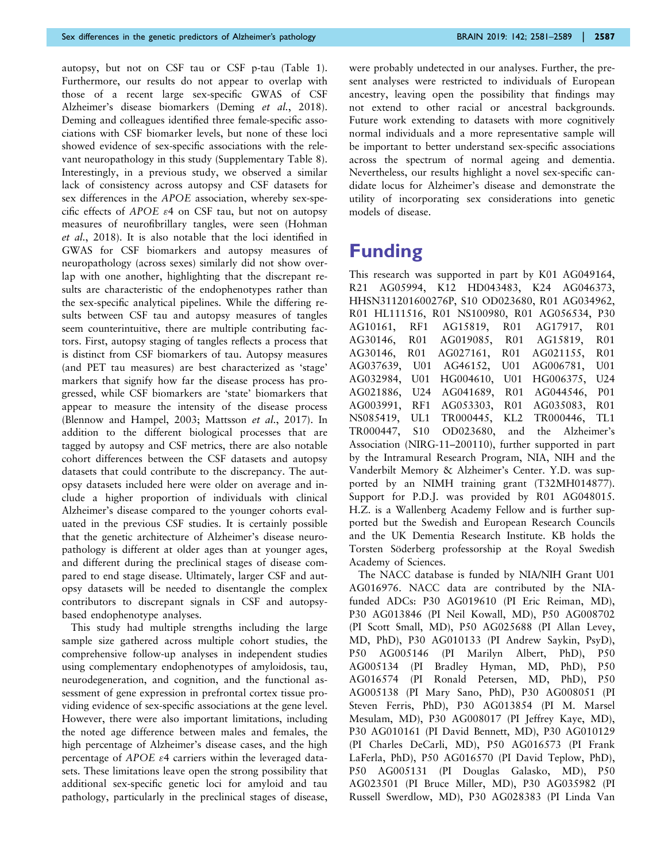autopsy, but not on CSF tau or CSF p-tau [\(Table 1](#page-5-0)). Furthermore, our results do not appear to overlap with those of a recent large sex-specific GWAS of CSF Alzheimer's disease biomarkers ([Deming](#page-7-0) et al., 2018). Deming and colleagues identified three female-specific associations with CSF biomarker levels, but none of these loci showed evidence of sex-specific associations with the relevant neuropathology in this study (Supplementary Table 8). Interestingly, in a previous study, we observed a similar lack of consistency across autopsy and CSF datasets for sex differences in the APOE association, whereby sex-specific effects of APOE  $\varepsilon$ 4 on CSF tau, but not on autopsy measures of neurofibrillary tangles, were seen ([Hohman](#page-7-0) et al.[, 2018](#page-7-0)). It is also notable that the loci identified in GWAS for CSF biomarkers and autopsy measures of neuropathology (across sexes) similarly did not show overlap with one another, highlighting that the discrepant results are characteristic of the endophenotypes rather than the sex-specific analytical pipelines. While the differing results between CSF tau and autopsy measures of tangles seem counterintuitive, there are multiple contributing factors. First, autopsy staging of tangles reflects a process that is distinct from CSF biomarkers of tau. Autopsy measures (and PET tau measures) are best characterized as 'stage' markers that signify how far the disease process has progressed, while CSF biomarkers are 'state' biomarkers that appear to measure the intensity of the disease process ([Blennow and Hampel, 2003; Mattsson](#page-7-0) et al., 2017). In addition to the different biological processes that are tagged by autopsy and CSF metrics, there are also notable cohort differences between the CSF datasets and autopsy datasets that could contribute to the discrepancy. The autopsy datasets included here were older on average and include a higher proportion of individuals with clinical Alzheimer's disease compared to the younger cohorts evaluated in the previous CSF studies. It is certainly possible that the genetic architecture of Alzheimer's disease neuropathology is different at older ages than at younger ages, and different during the preclinical stages of disease compared to end stage disease. Ultimately, larger CSF and autopsy datasets will be needed to disentangle the complex contributors to discrepant signals in CSF and autopsybased endophenotype analyses.

This study had multiple strengths including the large sample size gathered across multiple cohort studies, the comprehensive follow-up analyses in independent studies using complementary endophenotypes of amyloidosis, tau, neurodegeneration, and cognition, and the functional assessment of gene expression in prefrontal cortex tissue providing evidence of sex-specific associations at the gene level. However, there were also important limitations, including the noted age difference between males and females, the high percentage of Alzheimer's disease cases, and the high percentage of APOE  $\varepsilon$ 4 carriers within the leveraged datasets. These limitations leave open the strong possibility that additional sex-specific genetic loci for amyloid and tau pathology, particularly in the preclinical stages of disease, were probably undetected in our analyses. Further, the present analyses were restricted to individuals of European ancestry, leaving open the possibility that findings may not extend to other racial or ancestral backgrounds. Future work extending to datasets with more cognitively normal individuals and a more representative sample will be important to better understand sex-specific associations across the spectrum of normal ageing and dementia. Nevertheless, our results highlight a novel sex-specific candidate locus for Alzheimer's disease and demonstrate the utility of incorporating sex considerations into genetic models of disease.

# Funding

This research was supported in part by K01 AG049164, R21 AG05994, K12 HD043483, K24 AG046373, HHSN311201600276P, S10 OD023680, R01 AG034962, R01 HL111516, R01 NS100980, R01 AG056534, P30 AG10161, RF1 AG15819, R01 AG17917, R01 AG30146, R01 AG019085, R01 AG15819, R01 AG30146, R01 AG027161, R01 AG021155, R01 AG037639, U01 AG46152, U01 AG006781, U01 AG032984, U01 HG004610, U01 HG006375, U24 AG021886, U24 AG041689, R01 AG044546, P01 AG003991, RF1 AG053303, R01 AG035083, R01 NS085419, UL1 TR000445, KL2 TR000446, TL1 TR000447, S10 OD023680, and the Alzheimer's Association (NIRG-11–200110), further supported in part by the Intramural Research Program, NIA, NIH and the Vanderbilt Memory & Alzheimer's Center. Y.D. was supported by an NIMH training grant (T32MH014877). Support for P.D.J. was provided by R01 AG048015. H.Z. is a Wallenberg Academy Fellow and is further supported but the Swedish and European Research Councils and the UK Dementia Research Institute. KB holds the Torsten Söderberg professorship at the Royal Swedish Academy of Sciences.

The NACC database is funded by NIA/NIH Grant U01 AG016976. NACC data are contributed by the NIAfunded ADCs: P30 AG019610 (PI Eric Reiman, MD), P30 AG013846 (PI Neil Kowall, MD), P50 AG008702 (PI Scott Small, MD), P50 AG025688 (PI Allan Levey, MD, PhD), P30 AG010133 (PI Andrew Saykin, PsyD), P50 AG005146 (PI Marilyn Albert, PhD), P50 AG005134 (PI Bradley Hyman, MD, PhD), P50 AG016574 (PI Ronald Petersen, MD, PhD), P50 AG005138 (PI Mary Sano, PhD), P30 AG008051 (PI Steven Ferris, PhD), P30 AG013854 (PI M. Marsel Mesulam, MD), P30 AG008017 (PI Jeffrey Kaye, MD), P30 AG010161 (PI David Bennett, MD), P30 AG010129 (PI Charles DeCarli, MD), P50 AG016573 (PI Frank LaFerla, PhD), P50 AG016570 (PI David Teplow, PhD), P50 AG005131 (PI Douglas Galasko, MD), P50 AG023501 (PI Bruce Miller, MD), P30 AG035982 (PI Russell Swerdlow, MD), P30 AG028383 (PI Linda Van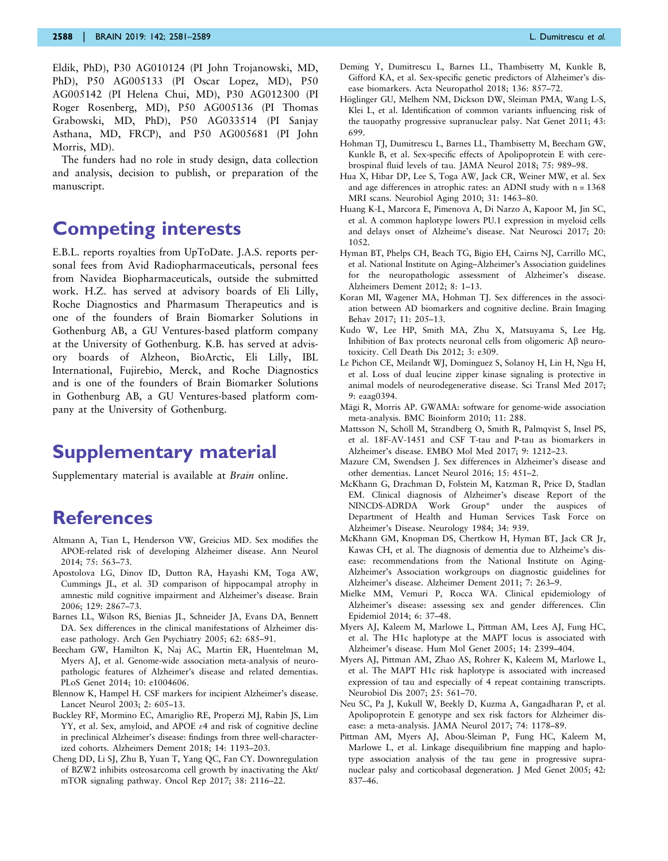<span id="page-7-0"></span>Eldik, PhD), P30 AG010124 (PI John Trojanowski, MD, PhD), P50 AG005133 (PI Oscar Lopez, MD), P50 AG005142 (PI Helena Chui, MD), P30 AG012300 (PI Roger Rosenberg, MD), P50 AG005136 (PI Thomas Grabowski, MD, PhD), P50 AG033514 (PI Sanjay Asthana, MD, FRCP), and P50 AG005681 (PI John Morris, MD).

The funders had no role in study design, data collection and analysis, decision to publish, or preparation of the manuscript.

# Competing interests

E.B.L. reports royalties from UpToDate. J.A.S. reports personal fees from Avid Radiopharmaceuticals, personal fees from Navidea Biopharmaceuticals, outside the submitted work. H.Z. has served at advisory boards of Eli Lilly, Roche Diagnostics and Pharmasum Therapeutics and is one of the founders of Brain Biomarker Solutions in Gothenburg AB, a GU Ventures-based platform company at the University of Gothenburg. K.B. has served at advisory boards of Alzheon, BioArctic, Eli Lilly, IBL International, Fujirebio, Merck, and Roche Diagnostics and is one of the founders of Brain Biomarker Solutions in Gothenburg AB, a GU Ventures-based platform company at the University of Gothenburg.

# Supplementary material

Supplementary material is available at *Brain* online.

# References

- Altmann A, Tian L, Henderson VW, Greicius MD. Sex modifies the APOE-related risk of developing Alzheimer disease. Ann Neurol 2014; 75: 563–73.
- Apostolova LG, Dinov ID, Dutton RA, Hayashi KM, Toga AW, Cummings JL, et al. 3D comparison of hippocampal atrophy in amnestic mild cognitive impairment and Alzheimer's disease. Brain 2006; 129: 2867–73.
- Barnes LL, Wilson RS, Bienias JL, Schneider JA, Evans DA, Bennett DA. Sex differences in the clinical manifestations of Alzheimer disease pathology. Arch Gen Psychiatry 2005; 62: 685–91.
- Beecham GW, Hamilton K, Naj AC, Martin ER, Huentelman M, Myers AJ, et al. Genome-wide association meta-analysis of neuropathologic features of Alzheimer's disease and related dementias. PLoS Genet 2014; 10: e1004606.
- Blennow K, Hampel H. CSF markers for incipient Alzheimer's disease. Lancet Neurol 2003; 2: 605–13.
- Buckley RF, Mormino EC, Amariglio RE, Properzi MJ, Rabin JS, Lim YY, et al. Sex, amyloid, and APOE  $\varepsilon$ 4 and risk of cognitive decline in preclinical Alzheimer's disease: findings from three well-characterized cohorts. Alzheimers Dement 2018; 14: 1193–203.
- Cheng DD, Li SJ, Zhu B, Yuan T, Yang QC, Fan CY. Downregulation of BZW2 inhibits osteosarcoma cell growth by inactivating the Akt/ mTOR signaling pathway. Oncol Rep 2017; 38: 2116–22.
- Deming Y, Dumitrescu L, Barnes LL, Thambisetty M, Kunkle B, Gifford KA, et al. Sex-specific genetic predictors of Alzheimer's disease biomarkers. Acta Neuropathol 2018; 136: 857–72.
- Höglinger GU, Melhem NM, Dickson DW, Sleiman PMA, Wang L-S, Klei L, et al. Identification of common variants influencing risk of the tauopathy progressive supranuclear palsy. Nat Genet 2011; 43: 699.
- Hohman TJ, Dumitrescu L, Barnes LL, Thambisetty M, Beecham GW, Kunkle B, et al. Sex-specific effects of Apolipoprotein E with cerebrospinal fluid levels of tau. JAMA Neurol 2018; 75: 989–98.
- Hua X, Hibar DP, Lee S, Toga AW, Jack CR, Weiner MW, et al. Sex and age differences in atrophic rates: an ADNI study with n = 1368 MRI scans. Neurobiol Aging 2010; 31: 1463–80.
- Huang K-L, Marcora E, Pimenova A, Di Narzo A, Kapoor M, Jin SC, et al. A common haplotype lowers PU.1 expression in myeloid cells and delays onset of Alzheime's disease. Nat Neurosci 2017; 20: 1052.
- Hyman BT, Phelps CH, Beach TG, Bigio EH, Cairns NJ, Carrillo MC, et al. National Institute on Aging–Alzheimer's Association guidelines for the neuropathologic assessment of Alzheimer's disease. Alzheimers Dement 2012; 8: 1–13.
- Koran MI, Wagener MA, Hohman TJ. Sex differences in the association between AD biomarkers and cognitive decline. Brain Imaging Behav 2017; 11: 205–13.
- Kudo W, Lee HP, Smith MA, Zhu X, Matsuyama S, Lee Hg. Inhibition of Bax protects neuronal cells from oligomeric  $\mathbf{A}\mathbf{\beta}$  neurotoxicity. Cell Death Dis 2012; 3: e309.
- Le Pichon CE, Meilandt WJ, Dominguez S, Solanoy H, Lin H, Ngu H, et al. Loss of dual leucine zipper kinase signaling is protective in animal models of neurodegenerative disease. Sci Transl Med 2017; 9: eaag0394.
- Mägi R, Morris AP. GWAMA: software for genome-wide association meta-analysis. BMC Bioinform 2010; 11: 288.
- Mattsson N, Schöll M, Strandberg O, Smith R, Palmqvist S, Insel PS, et al. 18F-AV-1451 and CSF T-tau and P-tau as biomarkers in Alzheimer's disease. EMBO Mol Med 2017; 9: 1212–23.
- Mazure CM, Swendsen J. Sex differences in Alzheimer's disease and other dementias. Lancet Neurol 2016; 15: 451–2.
- McKhann G, Drachman D, Folstein M, Katzman R, Price D, Stadlan EM. Clinical diagnosis of Alzheimer's disease Report of the NINCDS-ADRDA Work Group\* under the auspices of Department of Health and Human Services Task Force on Alzheimer's Disease. Neurology 1984; 34: 939.
- McKhann GM, Knopman DS, Chertkow H, Hyman BT, Jack CR Jr, Kawas CH, et al. The diagnosis of dementia due to Alzheime's disease: recommendations from the National Institute on Aging-Alzheimer's Association workgroups on diagnostic guidelines for Alzheimer's disease. Alzheimer Dement 2011; 7: 263–9.
- Mielke MM, Vemuri P, Rocca WA. Clinical epidemiology of Alzheimer's disease: assessing sex and gender differences. Clin Epidemiol 2014; 6: 37–48.
- Myers AJ, Kaleem M, Marlowe L, Pittman AM, Lees AJ, Fung HC, et al. The H1c haplotype at the MAPT locus is associated with Alzheimer's disease. Hum Mol Genet 2005; 14: 2399–404.
- Myers AJ, Pittman AM, Zhao AS, Rohrer K, Kaleem M, Marlowe L, et al. The MAPT H1c risk haplotype is associated with increased expression of tau and especially of 4 repeat containing transcripts. Neurobiol Dis 2007; 25: 561–70.
- Neu SC, Pa J, Kukull W, Beekly D, Kuzma A, Gangadharan P, et al. Apolipoprotein E genotype and sex risk factors for Alzheimer disease: a meta-analysis. JAMA Neurol 2017; 74: 1178–89.
- Pittman AM, Myers AJ, Abou-Sleiman P, Fung HC, Kaleem M, Marlowe L, et al. Linkage disequilibrium fine mapping and haplotype association analysis of the tau gene in progressive supranuclear palsy and corticobasal degeneration. J Med Genet 2005; 42: 837–46.